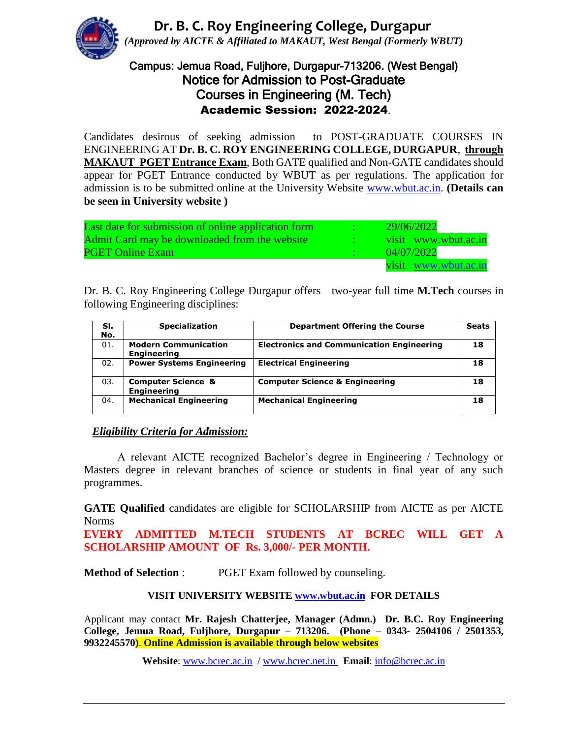**Dr. B. C. Roy Engineering College, Durgapur** *(Approved by AICTE & Affiliated to MAKAUT, West Bengal (Formerly WBUT)*

## Campus: Jemua Road, Fuljhore, Durgapur-713206. (West Bengal) Notice for Admission to Post-Graduate Courses in Engineering (M. Tech) Academic Session: 2022-2024.

Candidates desirous of seeking admission to POST-GRADUATE COURSES IN ENGINEERING AT **Dr. B. C. ROY ENGINEERING COLLEGE, DURGAPUR**, **through MAKAUT PGET Entrance Exam**, Both GATE qualified and Non-GATE candidates should appear for PGET Entrance conducted by WBUT as per regulations. The application for admission is to be submitted online at the University Website [www.wbut.ac.in.](http://www.wbut.ac.in/) **(Details can be seen in University website )**

| Last date for submission of online application form | 29/06/2022           |
|-----------------------------------------------------|----------------------|
| Admit Card may be downloaded from the website       | visit www.wbut.ac.in |
| <b>PGET Online Exam</b>                             | 04/07/2022           |
|                                                     | visit www.wbut.ac.in |

Dr. B. C. Roy Engineering College Durgapur offers two-year full time **M.Tech** courses in following Engineering disciplines:

| SI. | <b>Specialization</b>                               | <b>Department Offering the Course</b>            | <b>Seats</b> |
|-----|-----------------------------------------------------|--------------------------------------------------|--------------|
| No. |                                                     |                                                  |              |
| 01. | <b>Modern Communication</b>                         | <b>Electronics and Communication Engineering</b> | 18           |
|     | <b>Engineering</b>                                  |                                                  |              |
| 02. | <b>Power Systems Engineering</b>                    | <b>Electrical Engineering</b>                    | 18           |
| 03. | <b>Computer Science &amp;</b><br><b>Engineering</b> | <b>Computer Science &amp; Engineering</b>        | 18           |
| 04. | <b>Mechanical Engineering</b>                       | <b>Mechanical Engineering</b>                    | 18           |

#### *Eligibility Criteria for Admission:*

A relevant AICTE recognized Bachelor's degree in Engineering / Technology or Masters degree in relevant branches of science or students in final year of any such programmes.

**GATE Qualified** candidates are eligible for SCHOLARSHIP from AICTE as per AICTE Norms

**EVERY ADMITTED M.TECH STUDENTS AT BCREC WILL GET A SCHOLARSHIP AMOUNT OF Rs. 3,000/- PER MONTH.**

**Method of Selection** : PGET Exam followed by counseling.

### **VISIT UNIVERSITY WEBSITE [www.wbut.ac.in](http://www.wbut.ac.in/) FOR DETAILS**

Applicant may contact **Mr. Rajesh Chatterjee, Manager (Admn.) Dr. B.C. Roy Engineering College, Jemua Road, Fuljhore, Durgapur – 713206. (Phone – 0343- 2504106 / 2501353, 9932245570)**. **Online Admission is available through below websites**

**Website**: [www.bcrec.ac.in](http://www.bcrec.ac.in/) / [www.bcrec.net.in](http://www.bcrec.net.in/) **Email**: [info@bcrec.ac.in](mailto:info@bcrec.ac.in)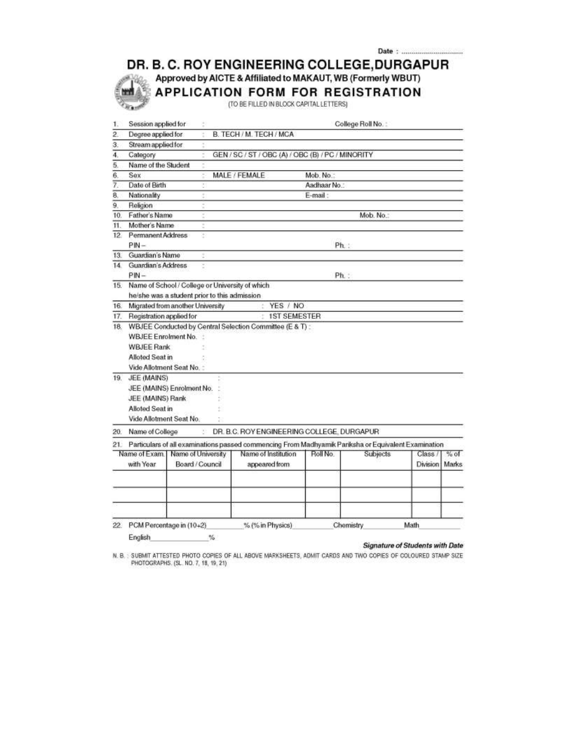DR. B. C. ROY ENGINEERING COLLEGE, DURGAPUR

Approved by AICTE & Affiliated to MAKAUT, WB (Formerly WBUT)

APPLICATION FORM FOR REGISTRATION

m

iin.

(TO BE FILLED IN BLOCK CAPITAL LETTERS)

| $\overline{2}$<br>B. TECH / M. TECH / MCA<br>Degree applied for<br>Stream applied for<br>З.<br>$\overline{4}$<br>GEN / SC / ST / OBC (A) / OBC (B) / PC / MINORITY<br>Category<br>$\overline{5}$<br>Name of the Student<br>$\overline{6}$<br>MALE / FEMALE<br>Sex<br>Mob. No.:<br>7.<br>Date of Birth<br>Aadhaar No.:<br>8,<br>Nationality<br>E-mail:<br>9.<br>Religion<br>Mob. No.:<br>Father's Name<br>10.<br>Mother's Name<br>11.<br>Permanent Address<br>12.<br>ŧ<br>Ph:<br>$PIN -$<br>Guardian's Name<br>13.<br>Guardian's Address<br>14.<br>$PM -$<br>Ph:<br>Name of School / College or University of which<br>15.<br>he/she was a student prior to this admission<br>YES / NO<br>Migrated from another University<br>16.<br><b>1ST SEMESTER</b><br>Registration applied for<br>17.<br>WBJEE Conducted by Central Selection Committee (E & T) :<br>18.<br><b>WBJEE Enrolment No.</b><br><b>WBJEE Rank</b><br>Alloted Seat in<br>Vide Allotment Seat No. :<br>JEE (MAINS)<br>19.<br>JEE (MAINS) Enrolment No.<br>JEE (MAINS) Rank<br>Alloted Seat in<br>Vide Allotment Seat No.<br>DR. B.C. ROY ENGINEERING COLLEGE. DURGAPUR<br>Name of College<br>20.<br>Particulars of all examinations passed commencing From Madhyamik Pariksha or Equivalent Examination<br>21.<br>Name of Institution<br>Name of Exam<br>Name of University<br>Roll No<br><b>Subjects</b><br>% of<br>Class /<br>Board / Council<br>with Year<br>appeared from<br>Division<br>PCM Percentage in (10+2)<br>% (% in Physics)<br>Math<br>$^{22}$<br>Chemistry | 1. | Session applied for |  |  | College Roll No.: |       |
|----------------------------------------------------------------------------------------------------------------------------------------------------------------------------------------------------------------------------------------------------------------------------------------------------------------------------------------------------------------------------------------------------------------------------------------------------------------------------------------------------------------------------------------------------------------------------------------------------------------------------------------------------------------------------------------------------------------------------------------------------------------------------------------------------------------------------------------------------------------------------------------------------------------------------------------------------------------------------------------------------------------------------------------------------------------------------------------------------------------------------------------------------------------------------------------------------------------------------------------------------------------------------------------------------------------------------------------------------------------------------------------------------------------------------------------------------------------------------------------------------------------------------------------|----|---------------------|--|--|-------------------|-------|
|                                                                                                                                                                                                                                                                                                                                                                                                                                                                                                                                                                                                                                                                                                                                                                                                                                                                                                                                                                                                                                                                                                                                                                                                                                                                                                                                                                                                                                                                                                                                        |    |                     |  |  |                   |       |
|                                                                                                                                                                                                                                                                                                                                                                                                                                                                                                                                                                                                                                                                                                                                                                                                                                                                                                                                                                                                                                                                                                                                                                                                                                                                                                                                                                                                                                                                                                                                        |    |                     |  |  |                   |       |
|                                                                                                                                                                                                                                                                                                                                                                                                                                                                                                                                                                                                                                                                                                                                                                                                                                                                                                                                                                                                                                                                                                                                                                                                                                                                                                                                                                                                                                                                                                                                        |    |                     |  |  |                   |       |
|                                                                                                                                                                                                                                                                                                                                                                                                                                                                                                                                                                                                                                                                                                                                                                                                                                                                                                                                                                                                                                                                                                                                                                                                                                                                                                                                                                                                                                                                                                                                        |    |                     |  |  |                   |       |
|                                                                                                                                                                                                                                                                                                                                                                                                                                                                                                                                                                                                                                                                                                                                                                                                                                                                                                                                                                                                                                                                                                                                                                                                                                                                                                                                                                                                                                                                                                                                        |    |                     |  |  |                   |       |
|                                                                                                                                                                                                                                                                                                                                                                                                                                                                                                                                                                                                                                                                                                                                                                                                                                                                                                                                                                                                                                                                                                                                                                                                                                                                                                                                                                                                                                                                                                                                        |    |                     |  |  |                   |       |
|                                                                                                                                                                                                                                                                                                                                                                                                                                                                                                                                                                                                                                                                                                                                                                                                                                                                                                                                                                                                                                                                                                                                                                                                                                                                                                                                                                                                                                                                                                                                        |    |                     |  |  |                   |       |
|                                                                                                                                                                                                                                                                                                                                                                                                                                                                                                                                                                                                                                                                                                                                                                                                                                                                                                                                                                                                                                                                                                                                                                                                                                                                                                                                                                                                                                                                                                                                        |    |                     |  |  |                   |       |
|                                                                                                                                                                                                                                                                                                                                                                                                                                                                                                                                                                                                                                                                                                                                                                                                                                                                                                                                                                                                                                                                                                                                                                                                                                                                                                                                                                                                                                                                                                                                        |    |                     |  |  |                   |       |
|                                                                                                                                                                                                                                                                                                                                                                                                                                                                                                                                                                                                                                                                                                                                                                                                                                                                                                                                                                                                                                                                                                                                                                                                                                                                                                                                                                                                                                                                                                                                        |    |                     |  |  |                   |       |
|                                                                                                                                                                                                                                                                                                                                                                                                                                                                                                                                                                                                                                                                                                                                                                                                                                                                                                                                                                                                                                                                                                                                                                                                                                                                                                                                                                                                                                                                                                                                        |    |                     |  |  |                   |       |
|                                                                                                                                                                                                                                                                                                                                                                                                                                                                                                                                                                                                                                                                                                                                                                                                                                                                                                                                                                                                                                                                                                                                                                                                                                                                                                                                                                                                                                                                                                                                        |    |                     |  |  |                   |       |
|                                                                                                                                                                                                                                                                                                                                                                                                                                                                                                                                                                                                                                                                                                                                                                                                                                                                                                                                                                                                                                                                                                                                                                                                                                                                                                                                                                                                                                                                                                                                        |    |                     |  |  |                   |       |
|                                                                                                                                                                                                                                                                                                                                                                                                                                                                                                                                                                                                                                                                                                                                                                                                                                                                                                                                                                                                                                                                                                                                                                                                                                                                                                                                                                                                                                                                                                                                        |    |                     |  |  |                   |       |
|                                                                                                                                                                                                                                                                                                                                                                                                                                                                                                                                                                                                                                                                                                                                                                                                                                                                                                                                                                                                                                                                                                                                                                                                                                                                                                                                                                                                                                                                                                                                        |    |                     |  |  |                   |       |
|                                                                                                                                                                                                                                                                                                                                                                                                                                                                                                                                                                                                                                                                                                                                                                                                                                                                                                                                                                                                                                                                                                                                                                                                                                                                                                                                                                                                                                                                                                                                        |    |                     |  |  |                   |       |
|                                                                                                                                                                                                                                                                                                                                                                                                                                                                                                                                                                                                                                                                                                                                                                                                                                                                                                                                                                                                                                                                                                                                                                                                                                                                                                                                                                                                                                                                                                                                        |    |                     |  |  |                   |       |
|                                                                                                                                                                                                                                                                                                                                                                                                                                                                                                                                                                                                                                                                                                                                                                                                                                                                                                                                                                                                                                                                                                                                                                                                                                                                                                                                                                                                                                                                                                                                        |    |                     |  |  |                   |       |
|                                                                                                                                                                                                                                                                                                                                                                                                                                                                                                                                                                                                                                                                                                                                                                                                                                                                                                                                                                                                                                                                                                                                                                                                                                                                                                                                                                                                                                                                                                                                        |    |                     |  |  |                   |       |
|                                                                                                                                                                                                                                                                                                                                                                                                                                                                                                                                                                                                                                                                                                                                                                                                                                                                                                                                                                                                                                                                                                                                                                                                                                                                                                                                                                                                                                                                                                                                        |    |                     |  |  |                   |       |
|                                                                                                                                                                                                                                                                                                                                                                                                                                                                                                                                                                                                                                                                                                                                                                                                                                                                                                                                                                                                                                                                                                                                                                                                                                                                                                                                                                                                                                                                                                                                        |    |                     |  |  |                   |       |
|                                                                                                                                                                                                                                                                                                                                                                                                                                                                                                                                                                                                                                                                                                                                                                                                                                                                                                                                                                                                                                                                                                                                                                                                                                                                                                                                                                                                                                                                                                                                        |    |                     |  |  |                   |       |
|                                                                                                                                                                                                                                                                                                                                                                                                                                                                                                                                                                                                                                                                                                                                                                                                                                                                                                                                                                                                                                                                                                                                                                                                                                                                                                                                                                                                                                                                                                                                        |    |                     |  |  |                   |       |
|                                                                                                                                                                                                                                                                                                                                                                                                                                                                                                                                                                                                                                                                                                                                                                                                                                                                                                                                                                                                                                                                                                                                                                                                                                                                                                                                                                                                                                                                                                                                        |    |                     |  |  |                   |       |
|                                                                                                                                                                                                                                                                                                                                                                                                                                                                                                                                                                                                                                                                                                                                                                                                                                                                                                                                                                                                                                                                                                                                                                                                                                                                                                                                                                                                                                                                                                                                        |    |                     |  |  |                   |       |
|                                                                                                                                                                                                                                                                                                                                                                                                                                                                                                                                                                                                                                                                                                                                                                                                                                                                                                                                                                                                                                                                                                                                                                                                                                                                                                                                                                                                                                                                                                                                        |    |                     |  |  |                   |       |
|                                                                                                                                                                                                                                                                                                                                                                                                                                                                                                                                                                                                                                                                                                                                                                                                                                                                                                                                                                                                                                                                                                                                                                                                                                                                                                                                                                                                                                                                                                                                        |    |                     |  |  |                   |       |
|                                                                                                                                                                                                                                                                                                                                                                                                                                                                                                                                                                                                                                                                                                                                                                                                                                                                                                                                                                                                                                                                                                                                                                                                                                                                                                                                                                                                                                                                                                                                        |    |                     |  |  |                   |       |
|                                                                                                                                                                                                                                                                                                                                                                                                                                                                                                                                                                                                                                                                                                                                                                                                                                                                                                                                                                                                                                                                                                                                                                                                                                                                                                                                                                                                                                                                                                                                        |    |                     |  |  |                   |       |
|                                                                                                                                                                                                                                                                                                                                                                                                                                                                                                                                                                                                                                                                                                                                                                                                                                                                                                                                                                                                                                                                                                                                                                                                                                                                                                                                                                                                                                                                                                                                        |    |                     |  |  |                   |       |
|                                                                                                                                                                                                                                                                                                                                                                                                                                                                                                                                                                                                                                                                                                                                                                                                                                                                                                                                                                                                                                                                                                                                                                                                                                                                                                                                                                                                                                                                                                                                        |    |                     |  |  |                   |       |
|                                                                                                                                                                                                                                                                                                                                                                                                                                                                                                                                                                                                                                                                                                                                                                                                                                                                                                                                                                                                                                                                                                                                                                                                                                                                                                                                                                                                                                                                                                                                        |    |                     |  |  |                   |       |
|                                                                                                                                                                                                                                                                                                                                                                                                                                                                                                                                                                                                                                                                                                                                                                                                                                                                                                                                                                                                                                                                                                                                                                                                                                                                                                                                                                                                                                                                                                                                        |    |                     |  |  |                   |       |
|                                                                                                                                                                                                                                                                                                                                                                                                                                                                                                                                                                                                                                                                                                                                                                                                                                                                                                                                                                                                                                                                                                                                                                                                                                                                                                                                                                                                                                                                                                                                        |    |                     |  |  |                   | Marks |
|                                                                                                                                                                                                                                                                                                                                                                                                                                                                                                                                                                                                                                                                                                                                                                                                                                                                                                                                                                                                                                                                                                                                                                                                                                                                                                                                                                                                                                                                                                                                        |    |                     |  |  |                   |       |
|                                                                                                                                                                                                                                                                                                                                                                                                                                                                                                                                                                                                                                                                                                                                                                                                                                                                                                                                                                                                                                                                                                                                                                                                                                                                                                                                                                                                                                                                                                                                        |    |                     |  |  |                   |       |
|                                                                                                                                                                                                                                                                                                                                                                                                                                                                                                                                                                                                                                                                                                                                                                                                                                                                                                                                                                                                                                                                                                                                                                                                                                                                                                                                                                                                                                                                                                                                        |    |                     |  |  |                   |       |
|                                                                                                                                                                                                                                                                                                                                                                                                                                                                                                                                                                                                                                                                                                                                                                                                                                                                                                                                                                                                                                                                                                                                                                                                                                                                                                                                                                                                                                                                                                                                        |    |                     |  |  |                   |       |
|                                                                                                                                                                                                                                                                                                                                                                                                                                                                                                                                                                                                                                                                                                                                                                                                                                                                                                                                                                                                                                                                                                                                                                                                                                                                                                                                                                                                                                                                                                                                        |    |                     |  |  |                   |       |
| English<br>%                                                                                                                                                                                                                                                                                                                                                                                                                                                                                                                                                                                                                                                                                                                                                                                                                                                                                                                                                                                                                                                                                                                                                                                                                                                                                                                                                                                                                                                                                                                           |    |                     |  |  |                   |       |

**Signature of Students with Date** 

N. B. : SUBMIT ATTESTED PHOTO COPIES OF ALL ABOVE MARKSHEETS, ADMIT CARDS AND TWO COPIES OF COLOURED STAMP SIZE PHOTOGRAPHS. (SL. NO. 7, 18, 19, 21)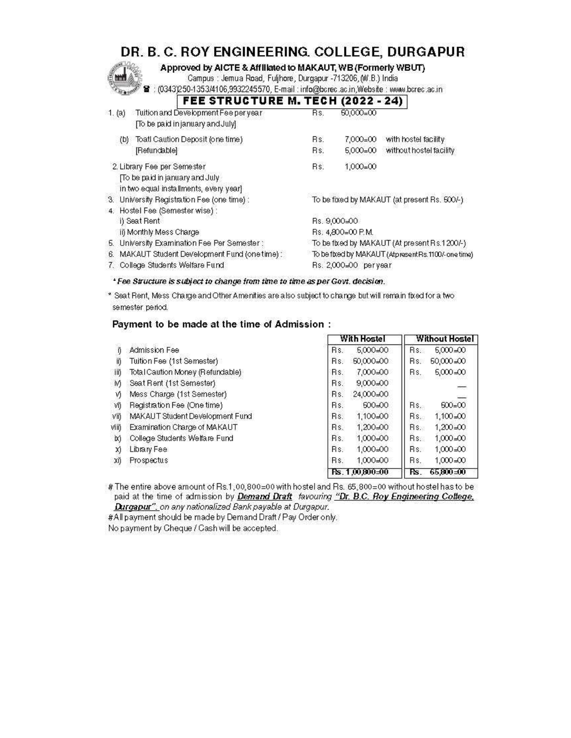# DR. B. C. ROY ENGINEERING. COLLEGE, DURGAPUR

Approved by AICTE & Affiliated to MAKAUT, WB (Formerly WBUT)

Campus : Jemua Road, Fuljhore, Durgapur -713206, (W.B.) India

8 : (0343)250-1353/4106,9932245570, E-mail : info@bcrec.ac.in,Website : www.bcrec.ac.in **PAUL (8888 - 84)**  $\overline{\phantom{a}}$ 

|        | FEE STRUGTURE M. TEGH (2022 - 24)                                        |                                                       |                     |                                              |
|--------|--------------------------------------------------------------------------|-------------------------------------------------------|---------------------|----------------------------------------------|
| 1. (a) | Tuition and Development Fee per year<br>[To be paid in january and July] | Bs.                                                   | $50,000=00$         |                                              |
|        | Toatl Caution Deposit (one time)<br>(b)                                  | Bs.                                                   | $7.000 = 00$        | with hostel facility                         |
|        | [Refundable]                                                             | Bs.                                                   | $5,000=00$          | without hostel facility                      |
|        | 2. Library Fee per Semester                                              | Bs.                                                   | $1,000=00$          |                                              |
|        | [To be paid in january and July]                                         |                                                       |                     |                                              |
|        | in two equal installments, every year)                                   |                                                       |                     |                                              |
|        | 3. University Registration Fee (one time) :                              |                                                       |                     | To be fixed by MAKAUT (at present Rs. 500/-) |
|        | 4. Hostel Fee (Semester wise) :                                          |                                                       |                     |                                              |
|        | i) Seat Rent                                                             |                                                       | Rs. 9,000=00        |                                              |
|        | ii) Monthly Mess Charge                                                  |                                                       | Rs: 4,800=00 P.M.   |                                              |
|        | 5. University Examination Fee Per Semester :                             |                                                       |                     | To be fixed by MAKAUT (At present Rs.1200/-) |
| 6.     | MAKAUT Student Development Fund (one time) :                             | To be fixed by MAKAUT (Atpresent Rs. 1100/- one time) |                     |                                              |
|        | College Students Welfare Fund                                            |                                                       | Rs. 2000=00 peryear |                                              |
|        |                                                                          |                                                       |                     |                                              |

\*Fee Structure is subject to change from time to time as per Govt. decision.

\* Seat Rent, Mess Charge and Other Amenities are also subject to change but will remain fixed for a two semester period.

#### Payment to be made at the time of Admission :

|      |                                  | With Hostel         | <b>Without Hostel</b>           |
|------|----------------------------------|---------------------|---------------------------------|
|      | Admission Fee                    | Rs.<br>5,000=00     | Rs.<br>$6,000 = 00$             |
| ii)  | Tuition Fee (1st Semester)       | 50,000=00<br>Rs.    | $50,000 = 00$<br>Rs.            |
| Шĵ   | Total Caution Money (Refundable) | 7.000=00<br>Rs.     | $6,000 = 00$<br>Rs.             |
| iV)  | Seat Rent (1st Semester)         | $9,000 = 00$<br>Rs. | $\overline{\phantom{a}}$        |
| V)   | Mess Charge (1st Semester)       | 24,000=00<br>Rs.    |                                 |
| 涌    | Registration Fee (One time)      | $600 - 00$<br>Rs.   | $500 = 00$<br>Rs.               |
| Viij | MAKAUT Student Development Fund  | 1,100=00<br>Rs.     | $1,100 = 00$<br>Rs.             |
| νщ   | Examination Charge of MAKAUT     | $1,200 = 00$<br>Rs. | $1,200 = 00$<br>$\mathsf{Rs}$ . |
| ix)  | College Students Welfare Fund    | 1,000=00<br>Rs.     | $1,000 = 00$<br>$\mathsf{Rs}$   |
| X)   | Library Fee                      | 1,000=00<br>Rs.     | $1,000 = 00$<br>Rs.             |
| ΧĎ   | Prospectus                       | 1.000=00<br>Rs.     | $1,000 = 00$<br>Rs.             |
|      |                                  | $Rs. 1,00.800 = 00$ | 65,800 = 00<br>Rs.              |

# The entire above amount of Rs.1,00,800=00 with hostel and Rs. 65,800=00 without hostel has to be paid at the time of admission by Demand Draft favouring "Dr. B.C. Roy Engineering College, Durgapur", on any nationalized Bank payable at Durgapur.

#All payment should be made by Demand Draft / Pay Order only.

No payment by Cheque / Cash will be accepted.